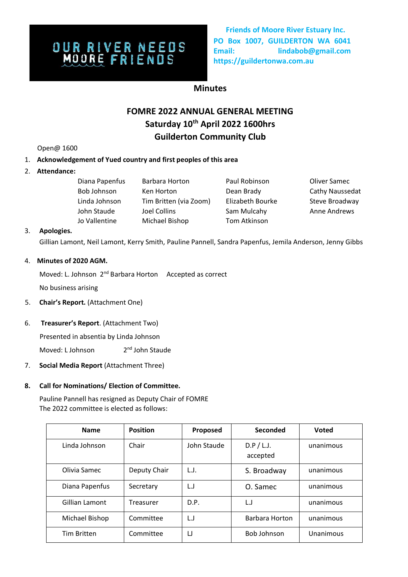# **OUR RIVER NEEDS**<br>MOORE FRIENDS

**Friends of Moore River Estuary Inc. PO Box 1007, GUILDERTON WA 6041 Email: lindabob@gmail.com https://guildertonwa.com.au** 

## **Minutes**

## **FOMRE 2022 ANNUAL GENERAL MEETING Saturday 10th April 2022 1600hrs Guilderton Community Club**

Open@ 1600

#### 1. **Acknowledgement of Yued country and first peoples of this area**

2. **Attendance:** 

| Diana Papenfus | Barbara Horton         | Paul Robinson    | Oliver Samec           |
|----------------|------------------------|------------------|------------------------|
| Bob Johnson    | Ken Horton             | Dean Brady       | <b>Cathy Naussedat</b> |
| Linda Johnson  | Tim Britten (via Zoom) | Elizabeth Bourke | Steve Broadway         |
| John Staude    | Joel Collins           | Sam Mulcahy      | <b>Anne Andrews</b>    |
| Jo Vallentine  | Michael Bishop         | Tom Atkinson     |                        |

#### 3. **Apologies.**

Gillian Lamont, Neil Lamont, Kerry Smith, Pauline Pannell, Sandra Papenfus, Jemila Anderson, Jenny Gibbs

#### 4. **Minutes of 2020 AGM.**

Moved: L. Johnson 2<sup>nd</sup> Barbara Horton Accepted as correct

No business arising

5. **Chair's Report.** (Attachment One)

#### 6. **Treasurer's Report**. (Attachment Two)

Presented in absentia by Linda Johnson

Moved: L Johnson 2 2<sup>nd</sup> John Staude

7. **Social Media Report** (Attachment Three)

#### **8. Call for Nominations/ Election of Committee.**

Pauline Pannell has resigned as Deputy Chair of FOMRE The 2022 committee is elected as follows:

| <b>Name</b>        | <b>Position</b>  | Proposed    | Seconded               | <b>Voted</b> |
|--------------------|------------------|-------------|------------------------|--------------|
| Linda Johnson      | Chair            | John Staude | D.P / L.J.<br>accepted | unanimous    |
| Olivia Samec       | Deputy Chair     | L.J.        | S. Broadway            | unanimous    |
| Diana Papenfus     | Secretary        | L.J         | O. Samec               | unanimous    |
| Gillian Lamont     | <b>Treasurer</b> | D.P.        | L.J                    | unanimous    |
| Michael Bishop     | Committee        | L.J         | Barbara Horton         | unanimous    |
| <b>Tim Britten</b> | Committee        | IJ          | <b>Bob Johnson</b>     | Unanimous    |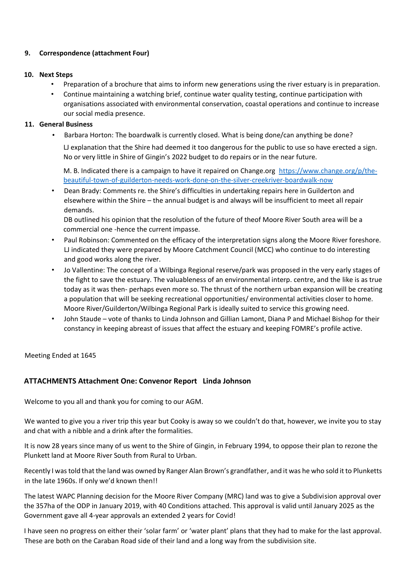#### **9. Correspondence (attachment Four)**

#### **10. Next Steps**

- Preparation of a brochure that aims to inform new generations using the river estuary is in preparation.
- Continue maintaining a watching brief, continue water quality testing, continue participation with organisations associated with environmental conservation, coastal operations and continue to increase our social media presence.

#### **11. General Business**

• Barbara Horton: The boardwalk is currently closed. What is being done/can anything be done?

LJ explanation that the Shire had deemed it too dangerous for the public to use so have erected a sign. No or very little in Shire of Gingin's 2022 budget to do repairs or in the near future.

M. B. Indicated there is a campaign to have it repaired on Change.org [https://www.change.org/p/the](https://www.change.org/p/the-beautiful-town-of-guilderton-needs-work-done-on-the-silver-creek-river-boardwalk-now)[beautiful-town-of-guilderton-needs-work-done-on-the-silver-creekriver-boardwalk-now](https://www.change.org/p/the-beautiful-town-of-guilderton-needs-work-done-on-the-silver-creek-river-boardwalk-now)

• Dean Brady: Comments re. the Shire's difficulties in undertaking repairs here in Guilderton and elsewhere within the Shire – the annual budget is and always will be insufficient to meet all repair demands.

DB outlined his opinion that the resolution of the future of theof Moore River South area will be a commercial one -hence the current impasse.

- Paul Robinson: Commented on the efficacy of the interpretation signs along the Moore River foreshore. LJ indicated they were prepared by Moore Catchment Council (MCC) who continue to do interesting and good works along the river.
- Jo Vallentine: The concept of a Wilbinga Regional reserve/park was proposed in the very early stages of the fight to save the estuary. The valuableness of an environmental interp. centre, and the like is as true today as it was then- perhaps even more so. The thrust of the northern urban expansion will be creating a population that will be seeking recreational opportunities/ environmental activities closer to home. Moore River/Guilderton/Wilbinga Regional Park is ideally suited to service this growing need.
- John Staude vote of thanks to Linda Johnson and Gillian Lamont, Diana P and Michael Bishop for their constancy in keeping abreast of issues that affect the estuary and keeping FOMRE's profile active.

Meeting Ended at 1645

#### **ATTACHMENTS Attachment One: Convenor Report Linda Johnson**

Welcome to you all and thank you for coming to our AGM.

We wanted to give you a river trip this year but Cooky is away so we couldn't do that, however, we invite you to stay and chat with a nibble and a drink after the formalities.

It is now 28 years since many of us went to the Shire of Gingin, in February 1994, to oppose their plan to rezone the Plunkett land at Moore River South from Rural to Urban.

Recently I was told that the land was owned by Ranger Alan Brown's grandfather, and it was he who sold it to Plunketts in the late 1960s. If only we'd known then!!

The latest WAPC Planning decision for the Moore River Company (MRC) land was to give a Subdivision approval over the 357ha of the ODP in January 2019, with 40 Conditions attached. This approval is valid until January 2025 as the Government gave all 4-year approvals an extended 2 years for Covid!

I have seen no progress on either their 'solar farm' or 'water plant' plans that they had to make for the last approval. These are both on the Caraban Road side of their land and a long way from the subdivision site.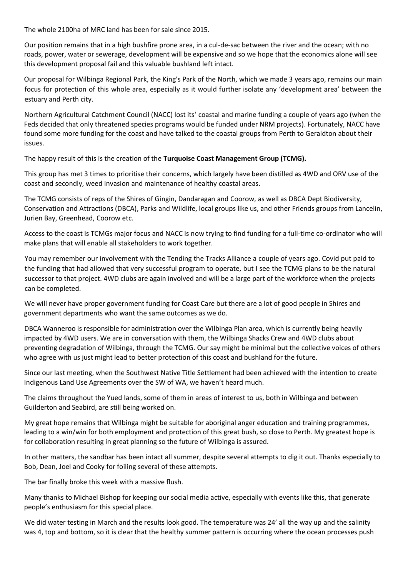The whole 2100ha of MRC land has been for sale since 2015.

Our position remains that in a high bushfire prone area, in a cul-de-sac between the river and the ocean; with no roads, power, water or sewerage, development will be expensive and so we hope that the economics alone will see this development proposal fail and this valuable bushland left intact.

Our proposal for Wilbinga Regional Park, the King's Park of the North, which we made 3 years ago, remains our main focus for protection of this whole area, especially as it would further isolate any 'development area' between the estuary and Perth city.

Northern Agricultural Catchment Council (NACC) lost its' coastal and marine funding a couple of years ago (when the Feds decided that only threatened species programs would be funded under NRM projects). Fortunately, NACC have found some more funding for the coast and have talked to the coastal groups from Perth to Geraldton about their issues.

The happy result of this is the creation of the **Turquoise Coast Management Group (TCMG).** 

This group has met 3 times to prioritise their concerns, which largely have been distilled as 4WD and ORV use of the coast and secondly, weed invasion and maintenance of healthy coastal areas.

The TCMG consists of reps of the Shires of Gingin, Dandaragan and Coorow, as well as DBCA Dept Biodiversity, Conservation and Attractions (DBCA), Parks and Wildlife, local groups like us, and other Friends groups from Lancelin, Jurien Bay, Greenhead, Coorow etc.

Access to the coast is TCMGs major focus and NACC is now trying to find funding for a full-time co-ordinator who will make plans that will enable all stakeholders to work together.

You may remember our involvement with the Tending the Tracks Alliance a couple of years ago. Covid put paid to the funding that had allowed that very successful program to operate, but I see the TCMG plans to be the natural successor to that project. 4WD clubs are again involved and will be a large part of the workforce when the projects can be completed.

We will never have proper government funding for Coast Care but there are a lot of good people in Shires and government departments who want the same outcomes as we do.

DBCA Wanneroo is responsible for administration over the Wilbinga Plan area, which is currently being heavily impacted by 4WD users. We are in conversation with them, the Wilbinga Shacks Crew and 4WD clubs about preventing degradation of Wilbinga, through the TCMG. Our say might be minimal but the collective voices of others who agree with us just might lead to better protection of this coast and bushland for the future.

Since our last meeting, when the Southwest Native Title Settlement had been achieved with the intention to create Indigenous Land Use Agreements over the SW of WA, we haven't heard much.

The claims throughout the Yued lands, some of them in areas of interest to us, both in Wilbinga and between Guilderton and Seabird, are still being worked on.

My great hope remains that Wilbinga might be suitable for aboriginal anger education and training programmes, leading to a win/win for both employment and protection of this great bush, so close to Perth. My greatest hope is for collaboration resulting in great planning so the future of Wilbinga is assured.

In other matters, the sandbar has been intact all summer, despite several attempts to dig it out. Thanks especially to Bob, Dean, Joel and Cooky for foiling several of these attempts.

The bar finally broke this week with a massive flush.

Many thanks to Michael Bishop for keeping our social media active, especially with events like this, that generate people's enthusiasm for this special place.

We did water testing in March and the results look good. The temperature was 24' all the way up and the salinity was 4, top and bottom, so it is clear that the healthy summer pattern is occurring where the ocean processes push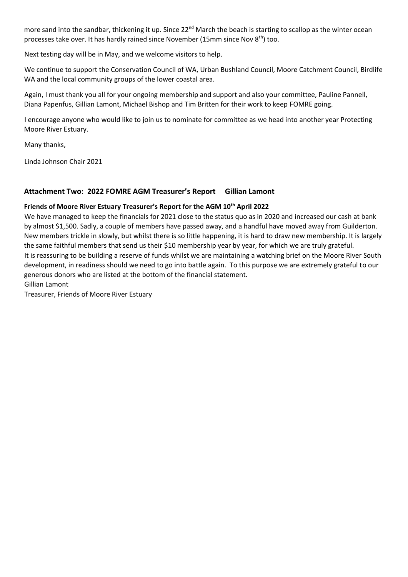more sand into the sandbar, thickening it up. Since 22<sup>nd</sup> March the beach is starting to scallop as the winter ocean processes take over. It has hardly rained since November (15mm since Nov 8<sup>th</sup>) too.

Next testing day will be in May, and we welcome visitors to help.

We continue to support the Conservation Council of WA, Urban Bushland Council, Moore Catchment Council, Birdlife WA and the local community groups of the lower coastal area.

Again, I must thank you all for your ongoing membership and support and also your committee, Pauline Pannell, Diana Papenfus, Gillian Lamont, Michael Bishop and Tim Britten for their work to keep FOMRE going.

I encourage anyone who would like to join us to nominate for committee as we head into another year Protecting Moore River Estuary.

Many thanks,

Linda Johnson Chair 2021

#### **Attachment Two: 2022 FOMRE AGM Treasurer's Report Gillian Lamont**

#### **Friends of Moore River Estuary Treasurer's Report for the AGM 10th April 2022**

We have managed to keep the financials for 2021 close to the status quo as in 2020 and increased our cash at bank by almost \$1,500. Sadly, a couple of members have passed away, and a handful have moved away from Guilderton. New members trickle in slowly, but whilst there is so little happening, it is hard to draw new membership. It is largely the same faithful members that send us their \$10 membership year by year, for which we are truly grateful. It is reassuring to be building a reserve of funds whilst we are maintaining a watching brief on the Moore River South development, in readiness should we need to go into battle again. To this purpose we are extremely grateful to our generous donors who are listed at the bottom of the financial statement. Gillian Lamont

Treasurer, Friends of Moore River Estuary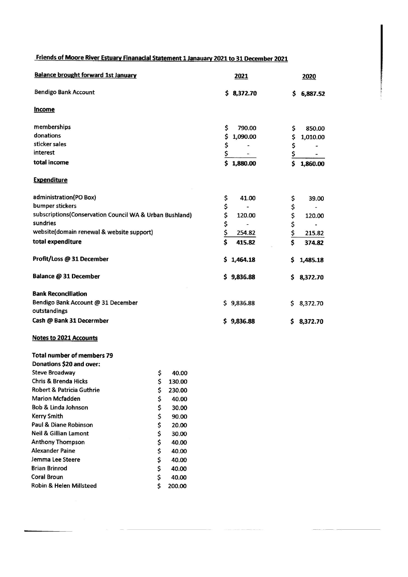# Friends of Moore River Estuary Finanacial Statement 1 Janauary 2021 to 31 December 2021

| <b>Balance brought forward 1st January</b>              | 2021           | 2020                                             |
|---------------------------------------------------------|----------------|--------------------------------------------------|
| <b>Bendigo Bank Account</b>                             | \$3,372.70     | \$<br>6,887.52                                   |
| <b>Income</b>                                           |                |                                                  |
| memberships                                             | \$<br>790.00   | \$<br>850.00                                     |
| donations                                               | \$<br>1,090.00 | \$<br>1,010.00                                   |
| sticker sales                                           | \$             | \$                                               |
| interest                                                | \$             | $\frac{1}{2}$                                    |
| total income                                            | \$<br>1,880.00 | $\overline{\boldsymbol{\mathsf{s}}}$<br>1,860.00 |
| <b>Expenditure</b>                                      |                |                                                  |
| administration(PO Box)                                  | \$<br>41.00    | 39.00                                            |
| bumper stickers                                         | \$             |                                                  |
| subscriptions(Conservation Council WA & Urban Bushland) | \$<br>120.00   | 120.00                                           |
| sundries                                                | \$             |                                                  |
| website(domain renewal & website support)               | \$<br>254.82   | \$\$\$\$<br>215.82                               |
| total expenditure                                       | Ś<br>415.82    | Ś<br>374.82                                      |
| Profit/Loss @ 31 December                               | 1,464.18<br>S. | \$<br>1,485.18                                   |
| Balance @ 31 December                                   | \$9,836.88     | \$3,372.70                                       |
| <b>Bank Reconciliation</b>                              |                |                                                  |
| Bendigo Bank Account @ 31 December                      | \$9,836.88     | 8,372.70<br>\$.                                  |
| outstandings                                            |                |                                                  |
| Cash @ Bank 31 Decermber                                | \$9,836.88     | \$<br>8,372.70                                   |
|                                                         |                |                                                  |

#### Notes to 2021 Accounts

| Total number of members 79<br>Donations \$20 and over: |              |
|--------------------------------------------------------|--------------|
| Steve Broadway                                         | \$<br>40.00  |
| Chris & Brenda Hicks                                   | \$<br>130.00 |
| Robert & Patricia Guthrie                              | \$<br>230.00 |
| <b>Marion Mcfadden</b>                                 | \$<br>40.00  |
| Bob & Linda Johnson                                    | \$<br>30.00  |
| Kerry Smith                                            | \$<br>90.00  |
| Paul & Diane Robinson                                  | \$<br>20.00  |
| Neil & Gillian Lamont                                  | \$<br>30.00  |
| <b>Anthony Thompson</b>                                | \$<br>40.00  |
| Alexander Paine                                        | \$<br>40.00  |
| Jemma Lee Steere                                       | \$<br>40.00  |
| <b>Brian Brinrod</b>                                   | \$<br>40.00  |
| Coral Broun                                            | \$<br>40.00  |
| Robin & Helen Millsteed                                | \$<br>200.00 |

 $\sim$ 

 $\label{eq:1} \begin{split} \mathcal{L}^{(1)}(x) &= \mathcal{L}^{(1)}(x) \otimes \mathcal{L}^{(2)}(x) \otimes \mathcal{L}^{(3)}(x) \otimes \mathcal{L}^{(4)}(x) \otimes \mathcal{L}^{(5)}(x) \otimes \mathcal{L}^{(6)}(x) \otimes \mathcal{L}^{(6)}(x) \otimes \mathcal{L}^{(6)}(x) \otimes \mathcal{L}^{(6)}(x) \otimes \mathcal{L}^{(6)}(x) \otimes \mathcal{L}^{(6)}(x) \otimes \mathcal{L}^{(6)}(x) \otimes \math$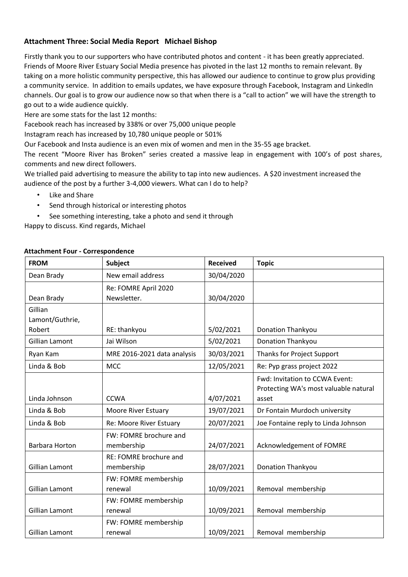## **Attachment Three: Social Media Report Michael Bishop**

Firstly thank you to our supporters who have contributed photos and content - it has been greatly appreciated. Friends of Moore River Estuary Social Media presence has pivoted in the last 12 months to remain relevant. By taking on a more holistic community perspective, this has allowed our audience to continue to grow plus providing a community service. In addition to emails updates, we have exposure through Facebook, Instagram and LinkedIn channels. Our goal is to grow our audience now so that when there is a "call to action" we will have the strength to go out to a wide audience quickly.

Here are some stats for the last 12 months:

Facebook reach has increased by 338% or over 75,000 unique people

Instagram reach has increased by 10,780 unique people or 501%

Our Facebook and Insta audience is an even mix of women and men in the 35-55 age bracket.

The recent "Moore River has Broken" series created a massive leap in engagement with 100's of post shares, comments and new direct followers.

We trialled paid advertising to measure the ability to tap into new audiences. A \$20 investment increased the audience of the post by a further 3-4,000 viewers. What can I do to help?

- Like and Share
- Send through historical or interesting photos
- See something interesting, take a photo and send it through

Happy to discuss. Kind regards, Michael

| <b>FROM</b>                | Subject                              | <b>Received</b> | <b>Topic</b>                                                            |
|----------------------------|--------------------------------------|-----------------|-------------------------------------------------------------------------|
| Dean Brady                 | New email address                    | 30/04/2020      |                                                                         |
| Dean Brady                 | Re: FOMRE April 2020<br>Newsletter.  | 30/04/2020      |                                                                         |
| Gillian<br>Lamont/Guthrie, |                                      |                 |                                                                         |
| Robert                     | RE: thankyou                         | 5/02/2021       | <b>Donation Thankyou</b>                                                |
| Gillian Lamont             | Jai Wilson                           | 5/02/2021       | <b>Donation Thankyou</b>                                                |
| Ryan Kam                   | MRE 2016-2021 data analysis          | 30/03/2021      | Thanks for Project Support                                              |
| Linda & Bob                | <b>MCC</b>                           | 12/05/2021      | Re: Pyp grass project 2022                                              |
|                            |                                      |                 | Fwd: Invitation to CCWA Event:<br>Protecting WA's most valuable natural |
| Linda Johnson              | <b>CCWA</b>                          | 4/07/2021       | asset                                                                   |
| Linda & Bob                | <b>Moore River Estuary</b>           | 19/07/2021      | Dr Fontain Murdoch university                                           |
| Linda & Bob                | Re: Moore River Estuary              | 20/07/2021      | Joe Fontaine reply to Linda Johnson                                     |
| <b>Barbara Horton</b>      | FW: FOMRE brochure and<br>membership | 24/07/2021      | Acknowledgement of FOMRE                                                |
| Gillian Lamont             | RE: FOMRE brochure and<br>membership | 28/07/2021      | <b>Donation Thankyou</b>                                                |
| Gillian Lamont             | FW: FOMRE membership<br>renewal      | 10/09/2021      | Removal membership                                                      |
| Gillian Lamont             | FW: FOMRE membership<br>renewal      | 10/09/2021      | Removal membership                                                      |
| Gillian Lamont             | FW: FOMRE membership<br>renewal      | 10/09/2021      | Removal membership                                                      |

#### **Attachment Four - Correspondence**